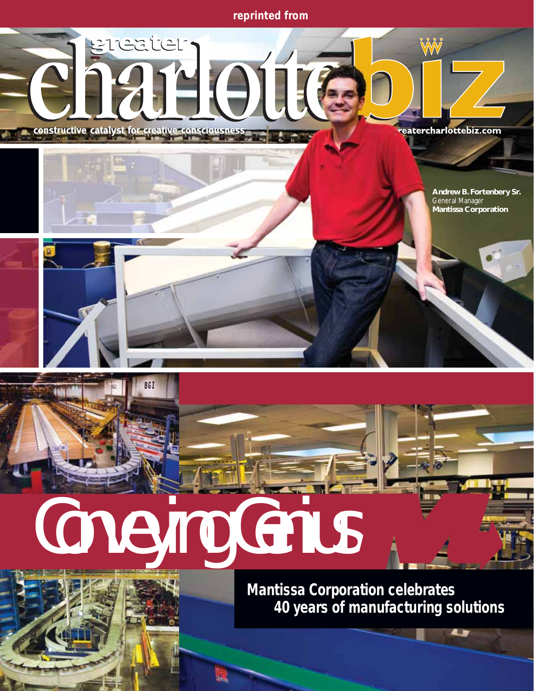*reprinted from*



*Mantissa Corporation celebrates 40 years of manufacturing solutions*

43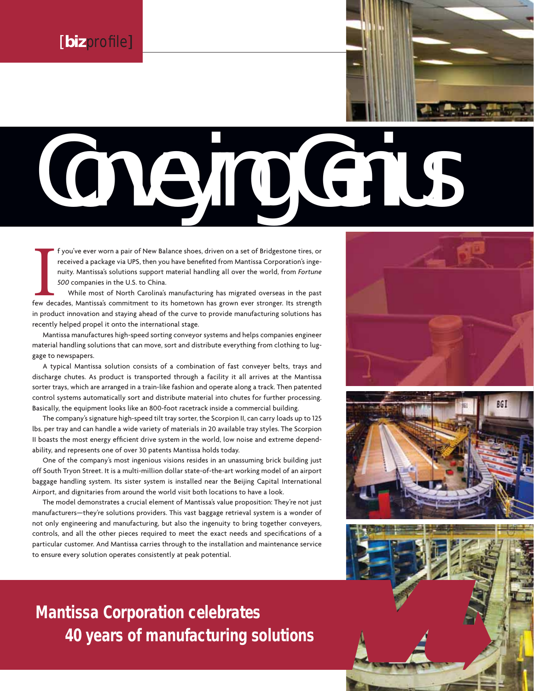## Conveying Genius

f you've ever worn a pair of New Balance shoes, driven on a set of Bridgestone tires, or<br>received a package via UPS, then you have benefited from Mantissa Corporation's inge-<br>nuity. Mantissa's solutions support material ha f you've ever worn a pair of New Balance shoes, driven on a set of Bridgestone tires, or received a package via UPS, then you have benefited from Mantissa Corporation's ingenuity. Mantissa's solutions support material handling all over the world, from *Fortune 500* companies in the U.S. to China.

While most of North Carolina's manufacturing has migrated overseas in the past in product innovation and staying ahead of the curve to provide manufacturing solutions has recently helped propel it onto the international stage.

Mantissa manufactures high-speed sorting conveyor systems and helps companies engineer material handling solutions that can move, sort and distribute everything from clothing to luggage to newspapers.

A typical Mantissa solution consists of a combination of fast conveyer belts, trays and discharge chutes. As product is transported through a facility it all arrives at the Mantissa sorter trays, which are arranged in a train-like fashion and operate along a track. Then patented control systems automatically sort and distribute material into chutes for further processing. Basically, the equipment looks like an 800-foot racetrack inside a commercial building.

The company's signature high-speed tilt tray sorter, the Scorpion II, can carry loads up to 125 lbs. per tray and can handle a wide variety of materials in 20 available tray styles. The Scorpion II boasts the most energy efficient drive system in the world, low noise and extreme dependability, and represents one of over 30 patents Mantissa holds today.

One of the company's most ingenious visions resides in an unassuming brick building just off South Tryon Street. It is a multi-million dollar state-of-the-art working model of an airport baggage handling system. Its sister system is installed near the Beijing Capital International Airport, and dignitaries from around the world visit both locations to have a look.

The model demonstrates a crucial element of Mantissa's value proposition: They're not just manufacturers—they're solutions providers. This vast baggage retrieval system is a wonder of not only engineering and manufacturing, but also the ingenuity to bring together conveyers, controls, and all the other pieces required to meet the exact needs and specifications of a particular customer. And Mantissa carries through to the installation and maintenance service to ensure every solution operates consistently at peak potential.

*Mantissa Corporation celebrates 40 years of manufacturing solutions*



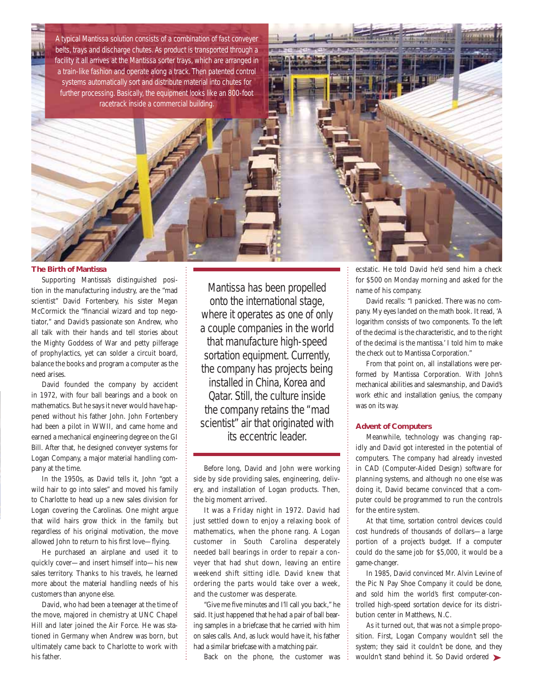A typical Mantissa solution consists of a combination of fast conveyer belts, trays and discharge chutes. As product is transported through a facility it all arrives at the Mantissa sorter trays, which are arranged in a train-like fashion and operate along a track. Then patented control systems automatically sort and distribute material into chutes for further processing. Basically, the equipment looks like an 800-foot racetrack inside a commercial building.



Supporting Mantissa's distinguished position in the manufacturing industry, are the "mad scientist" David Fortenbery, his sister Megan McCormick the "financial wizard and top negotiator," and David's passionate son Andrew, who all talk with their hands and tell stories about the Mighty Goddess of War and petty pilferage of prophylactics, yet can solder a circuit board, balance the books and program a computer as the need arises.

David founded the company by accident in 1972, with four ball bearings and a book on mathematics. But he says it never would have happened without his father John. John Fortenbery had been a pilot in WWII, and came home and earned a mechanical engineering degree on the GI Bill. After that, he designed conveyer systems for Logan Company, a major material handling company at the time.

In the 1950s, as David tells it, John "got a wild hair to go into sales" and moved his family to Charlotte to head up a new sales division for Logan covering the Carolinas. One might argue that wild hairs grow thick in the family, but regardless of his original motivation, the move allowed John to return to his first love—flying.

He purchased an airplane and used it to quickly cover—and insert himself into—his new sales territory. Thanks to his travels, he learned more about the material handling needs of his customers than anyone else.

David, who had been a teenager at the time of the move, majored in chemistry at UNC Chapel Hill and later joined the Air Force. He was stationed in Germany when Andrew was born, but ultimately came back to Charlotte to work with his father.

Mantissa has been propelled onto the international stage, where it operates as one of only a couple companies in the world that manufacture high-speed sortation equipment. Currently, the company has projects being installed in China, Korea and Qatar. Still, the culture inside the company retains the "mad scientist" air that originated with its eccentric leader.

Before long, David and John were working side by side providing sales, engineering, delivery, and installation of Logan products. Then, the big moment arrived.

It was a Friday night in 1972. David had just settled down to enjoy a relaxing book of mathematics, when the phone rang. A Logan customer in South Carolina desperately needed ball bearings in order to repair a conveyer that had shut down, leaving an entire weekend shift sitting idle. David knew that ordering the parts would take over a week, and the customer was desperate.

"Give me five minutes and I'll call you back," he said. It just happened that he had a pair of ball bearing samples in a briefcase that he carried with him on sales calls. And, as luck would have it, his father had a similar briefcase with a matching pair.

Back on the phone, the customer was

ecstatic. He told David he'd send him a check for \$500 on Monday morning and asked for the name of his company.

David recalls: "I panicked. There was no company. My eyes landed on the math book. It read, 'A logarithm consists of two components. To the left of the decimal is the characteristic, and to the right of the decimal is the mantissa.' I told him to make the check out to Mantissa Corporation."

From that point on, all installations were performed by Mantissa Corporation. With John's mechanical abilities and salesmanship, and David's work ethic and installation genius, the company was on its way.

## **Advent of Computers**

Meanwhile, technology was changing rapidly and David got interested in the potential of computers. The company had already invested in CAD (Computer-Aided Design) software for planning systems, and although no one else was doing it, David became convinced that a computer could be programmed to run the controls for the entire system.

At that time, sortation control devices could cost hundreds of thousands of dollars—a large portion of a project's budget. If a computer could do the same job for \$5,000, it would be a game-changer.

In 1985, David convinced Mr. Alvin Levine of the Pic N Pay Shoe Company it could be done, and sold him the world's first computer-controlled high-speed sortation device for its distribution center in Matthews, N.C.

As it turned out, that was not a simple proposition. First, Logan Company wouldn't sell the system; they said it couldn't be done, and they wouldn't stand behind it. So David ordered ➤